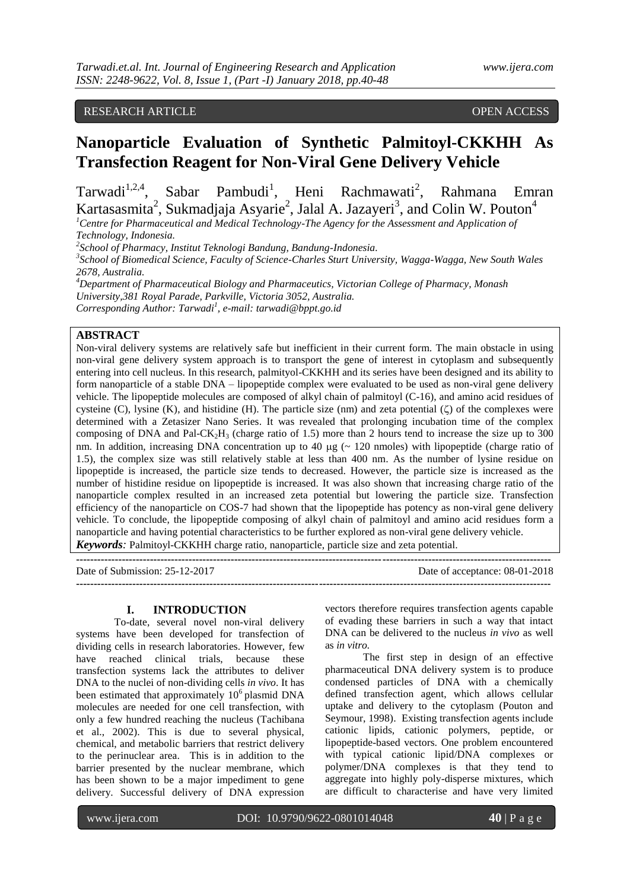## RESEARCH ARTICLE **CONTRACT ARTICLE**

# **Nanoparticle Evaluation of Synthetic Palmitoyl-CKKHH As Transfection Reagent for Non-Viral Gene Delivery Vehicle**

Tarwadi<sup>1,2,4</sup>, Sabar Pambudi<sup>1</sup>, Heni Rachmawati<sup>2</sup>, Rahmana Emran Kartasasmita<sup>2</sup>, Sukmadjaja Asyarie<sup>2</sup>, Jalal A. Jazayeri<sup>3</sup>, and Colin W. Pouton<sup>4</sup> *<sup>1</sup>Centre for Pharmaceutical and Medical Technology-The Agency for the Assessment and Application of* 

*Technology, Indonesia.*

*2 School of Pharmacy, Institut Teknologi Bandung, Bandung-Indonesia.*

*3 School of Biomedical Science, Faculty of Science-Charles Sturt University, Wagga-Wagga, New South Wales 2678, Australia.*

*<sup>4</sup>Department of Pharmaceutical Biology and Pharmaceutics, Victorian College of Pharmacy, Monash University,381 Royal Parade, Parkville, Victoria 3052, Australia. Corresponding Author: Tarwadi<sup>1</sup> , e-mail: tarwadi@bppt.go.id*

### **ABSTRACT**

Non-viral delivery systems are relatively safe but inefficient in their current form. The main obstacle in using non-viral gene delivery system approach is to transport the gene of interest in cytoplasm and subsequently entering into cell nucleus. In this research, palmityol-CKKHH and its series have been designed and its ability to form nanoparticle of a stable DNA – lipopeptide complex were evaluated to be used as non-viral gene delivery vehicle. The lipopeptide molecules are composed of alkyl chain of palmitoyl (C-16), and amino acid residues of cysteine (C), lysine (K), and histidine (H). The particle size (nm) and zeta potential ( $\zeta$ ) of the complexes were determined with a Zetasizer Nano Series. It was revealed that prolonging incubation time of the complex composing of DNA and Pal- $CK_2H_3$  (charge ratio of 1.5) more than 2 hours tend to increase the size up to 300 nm. In addition, increasing DNA concentration up to 40  $\mu$ g ( $\sim$  120 nmoles) with lipopeptide (charge ratio of 1.5), the complex size was still relatively stable at less than 400 nm. As the number of lysine residue on lipopeptide is increased, the particle size tends to decreased. However, the particle size is increased as the number of histidine residue on lipopeptide is increased. It was also shown that increasing charge ratio of the nanoparticle complex resulted in an increased zeta potential but lowering the particle size. Transfection efficiency of the nanoparticle on COS-7 had shown that the lipopeptide has potency as non-viral gene delivery vehicle. To conclude, the lipopeptide composing of alkyl chain of palmitoyl and amino acid residues form a nanoparticle and having potential characteristics to be further explored as non-viral gene delivery vehicle.

*Keywords:* Palmitoyl-CKKHH charge ratio, nanoparticle, particle size and zeta potential. **---------------------------------------------------------------------------------------------------------------------------------------**

Date of Submission: 25-12-2017 Date of acceptance: 08-01-2018

**---------------------------------------------------------------------------------------------------------------------------------------**

## **I. INTRODUCTION**

To-date, several novel non-viral delivery systems have been developed for transfection of dividing cells in research laboratories. However, few have reached clinical trials, because these transfection systems lack the attributes to deliver DNA to the nuclei of non-dividing cells *in vivo*. It has been estimated that approximately 10<sup>6</sup> plasmid DNA molecules are needed for one cell transfection, with only a few hundred reaching the nucleus (Tachibana et al., 2002). This is due to several physical, chemical, and metabolic barriers that restrict delivery to the perinuclear area. This is in addition to the barrier presented by the nuclear membrane, which has been shown to be a major impediment to gene delivery. Successful delivery of DNA expression

vectors therefore requires transfection agents capable of evading these barriers in such a way that intact DNA can be delivered to the nucleus *in vivo* as well as *in vitro.*

The first step in design of an effective pharmaceutical DNA delivery system is to produce condensed particles of DNA with a chemically defined transfection agent, which allows cellular uptake and delivery to the cytoplasm (Pouton and Seymour, 1998). Existing transfection agents include cationic lipids, cationic polymers, peptide, or lipopeptide-based vectors. One problem encountered with typical cationic lipid/DNA complexes or polymer/DNA complexes is that they tend to aggregate into highly poly-disperse mixtures, which are difficult to characterise and have very limited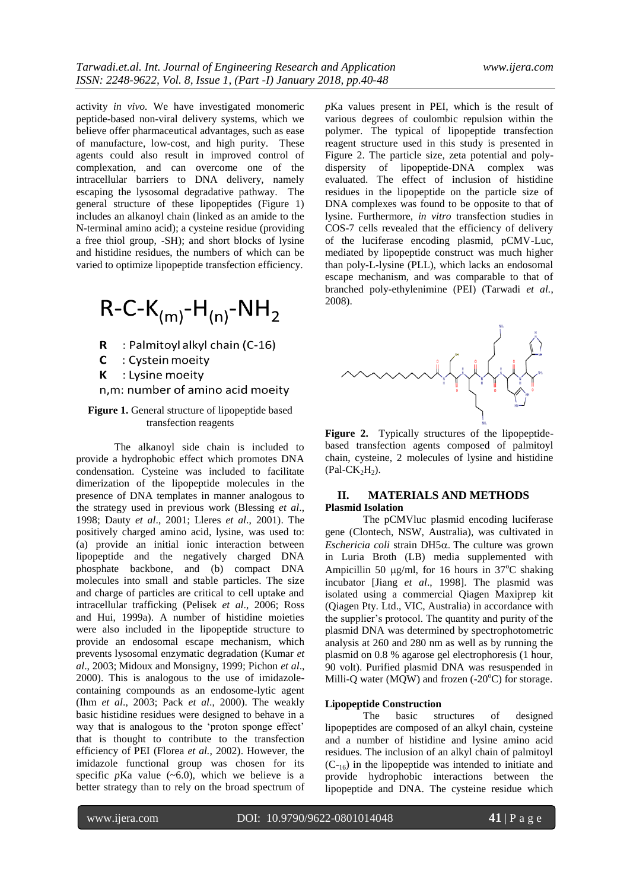activity *in vivo.* We have investigated monomeric peptide-based non-viral delivery systems, which we believe offer pharmaceutical advantages, such as ease of manufacture, low-cost, and high purity. These agents could also result in improved control of complexation, and can overcome one of the intracellular barriers to DNA delivery, namely escaping the lysosomal degradative pathway. The general structure of these lipopeptides (Figure 1) includes an alkanoyl chain (linked as an amide to the N-terminal amino acid); a cysteine residue (providing a free thiol group, -SH); and short blocks of lysine and histidine residues, the numbers of which can be varied to optimize lipopeptide transfection efficiency.

$$
R-C-K_{(m)}-H_{(n)}-NH_2
$$

- R : Palmitoyl alkyl chain (C-16)
- $\mathsf{C}$ : Cystein moeity
- : Lysine moeity K

n,m: number of amino acid moeity

## **Figure 1.** General structure of lipopeptide based transfection reagents

The alkanoyl side chain is included to provide a hydrophobic effect which promotes DNA condensation. Cysteine was included to facilitate dimerization of the lipopeptide molecules in the presence of DNA templates in manner analogous to the strategy used in previous work (Blessing *et al*., 1998; Dauty *et al*., 2001; Lleres *et al*., 2001). The positively charged amino acid, lysine, was used to: (a) provide an initial ionic interaction between lipopeptide and the negatively charged DNA phosphate backbone, and (b) compact DNA molecules into small and stable particles. The size and charge of particles are critical to cell uptake and intracellular trafficking (Pelisek *et al*., 2006; Ross and Hui, 1999a). A number of histidine moieties were also included in the lipopeptide structure to provide an endosomal escape mechanism, which prevents lysosomal enzymatic degradation (Kumar *et al*., 2003; Midoux and Monsigny, 1999; Pichon *et al*., 2000). This is analogous to the use of imidazolecontaining compounds as an endosome-lytic agent (Ihm *et al*., 2003; Pack *et al*., 2000). The weakly basic histidine residues were designed to behave in a way that is analogous to the 'proton sponge effect' that is thought to contribute to the transfection efficiency of PEI (Florea *et al.*, 2002). However, the imidazole functional group was chosen for its specific  $p$ Ka value  $(-6.0)$ , which we believe is a better strategy than to rely on the broad spectrum of *p*Ka values present in PEI, which is the result of various degrees of coulombic repulsion within the polymer. The typical of lipopeptide transfection reagent structure used in this study is presented in Figure 2. The particle size, zeta potential and polydispersity of lipopeptide-DNA complex was evaluated. The effect of inclusion of histidine residues in the lipopeptide on the particle size of DNA complexes was found to be opposite to that of lysine. Furthermore, *in vitro* transfection studies in COS-7 cells revealed that the efficiency of delivery of the luciferase encoding plasmid, pCMV-Luc, mediated by lipopeptide construct was much higher than poly-L-lysine (PLL), which lacks an endosomal escape mechanism, and was comparable to that of branched [poly-ethylenimine](http://www.google.com.au/search?hl=en&sa=X&oi=spell&resnum=0&ct=result&cd=1&q=Polyethylenimine+(PEI).+&spell=1) (PEI) (Tarwadi *et al.*, 2008).



**Figure 2.** Typically structures of the lipopeptidebased transfection agents composed of palmitoyl chain, cysteine, 2 molecules of lysine and histidine  $(Pal-CK<sub>2</sub>H<sub>2</sub>)$ .

## **II. MATERIALS AND METHODS Plasmid Isolation**

The pCMVluc plasmid encoding luciferase gene (Clontech, NSW, Australia), was cultivated in  $Eschericia coli strain DH5<sub>α</sub>$ . The culture was grown in Luria Broth (LB) media supplemented with Ampicillin 50  $\mu$ g/ml, for 16 hours in 37<sup>o</sup>C shaking incubator [Jiang *et al*., 1998]. The plasmid was isolated using a commercial Qiagen Maxiprep kit (Qiagen Pty. Ltd., VIC, Australia) in accordance with the supplier"s protocol. The quantity and purity of the plasmid DNA was determined by spectrophotometric analysis at 260 and 280 nm as well as by running the plasmid on 0.8 % agarose gel electrophoresis (1 hour, 90 volt). Purified plasmid DNA was resuspended in Milli-Q water (MQW) and frozen  $(-20^{\circ}C)$  for storage.

#### **Lipopeptide Construction**

The basic structures of designed lipopeptides are composed of an alkyl chain, cysteine and a number of histidine and lysine amino acid residues. The inclusion of an alkyl chain of palmitoyl  $(C_{16})$  in the lipopeptide was intended to initiate and provide hydrophobic interactions between the lipopeptide and DNA. The cysteine residue which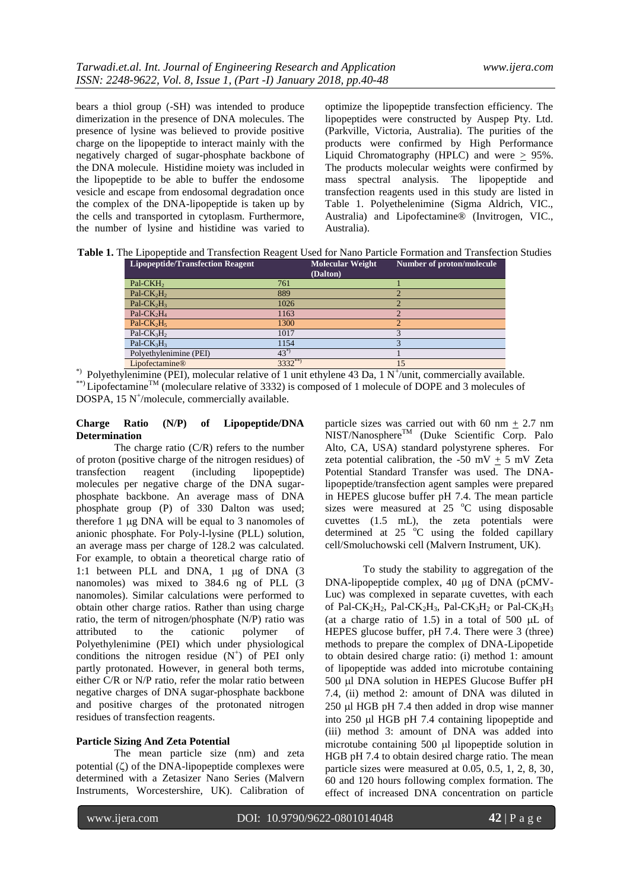bears a thiol group (-SH) was intended to produce dimerization in the presence of DNA molecules. The presence of lysine was believed to provide positive charge on the lipopeptide to interact mainly with the negatively charged of sugar-phosphate backbone of the DNA molecule. Histidine moiety was included in the lipopeptide to be able to buffer the endosome vesicle and escape from endosomal degradation once the complex of the DNA-lipopeptide is taken up by the cells and transported in cytoplasm. Furthermore, the number of lysine and histidine was varied to

optimize the lipopeptide transfection efficiency. The lipopeptides were constructed by Auspep Pty. Ltd. (Parkville, Victoria, Australia). The purities of the products were confirmed by High Performance Liquid Chromatography (HPLC) and were  $\geq$  95%. The products molecular weights were confirmed by mass spectral analysis. The lipopeptide and transfection reagents used in this study are listed in Table 1. Polyethelenimine (Sigma Aldrich, VIC., Australia) and Lipofectamine® (Invitrogen, VIC., Australia).

**Table 1.** The Lipopeptide and Transfection Reagent Used for Nano Particle Formation and Transfection Studies

| <b>Lipopeptide/Transfection Reagent</b> |             | <b>Molecular Weight</b><br>(Dalton) | Number of proton/molecule |
|-----------------------------------------|-------------|-------------------------------------|---------------------------|
| Pal-CKH <sub>2</sub>                    | 761         |                                     |                           |
| Pal- $CK2H2$                            | 889         |                                     |                           |
| Pal- $CK_2H_3$                          | 1026        |                                     |                           |
| Pal-CK <sub>2</sub> H <sub>4</sub>      | 1163        |                                     |                           |
| Pal-CK <sub>2</sub> H <sub>5</sub>      | 1300        |                                     | $\mathfrak{D}$            |
| Pal-C $K_3H_2$                          | 1017        |                                     | 3                         |
| Pal-CK $_3H_3$                          | 1154        |                                     |                           |
| Polyethylenimine (PEI)                  | $43^{*}$    |                                     |                           |
| Lipofectamine <sup>®</sup>              | $3332^{**}$ |                                     | 15                        |

\*) Polyethylenimine (PEI), molecular relative of 1 unit ethylene 43 Da, 1 N<sup>+</sup>/unit, commercially available. \*\*) Lipofectamine<sup>TM</sup> (moleculare relative of 3332) is composed of 1 molecule of DOPE and 3 molecules of  $DOSPA$ , 15 N<sup>+</sup>/molecule, commercially available.

### **Charge Ratio (N/P) of Lipopeptide/DNA Determination**

The charge ratio (C/R) refers to the number of proton (positive charge of the nitrogen residues) of<br>transfection reagent (including lipopentide) transfection reagent (including lipopeptide) molecules per negative charge of the DNA sugarphosphate backbone. An average mass of DNA phosphate group (P) of 330 Dalton was used; therefore  $1 \mu$ g DNA will be equal to 3 nanomoles of anionic phosphate. For Poly-l-lysine (PLL) solution, an average mass per charge of 128.2 was calculated. For example, to obtain a theoretical charge ratio of 1:1 between PLL and DNA, 1 µg of DNA (3 nanomoles) was mixed to 384.6 ng of PLL (3 nanomoles). Similar calculations were performed to obtain other charge ratios. Rather than using charge ratio, the term of nitrogen/phosphate (N/P) ratio was attributed to the cationic polymer of Polyethylenimine (PEI) which under physiological conditions the nitrogen residue  $(N^+)$  of PEI only partly protonated. However, in general both terms, either C/R or N/P ratio, refer the molar ratio between negative charges of DNA sugar-phosphate backbone and positive charges of the protonated nitrogen residues of transfection reagents.

### **Particle Sizing And Zeta Potential**

The mean particle size (nm) and zeta potential  $(\zeta)$  of the DNA-lipopeptide complexes were determined with a Zetasizer Nano Series (Malvern Instruments, Worcestershire, UK). Calibration of

particle sizes was carried out with 60 nm  $\pm$  2.7 nm  $NIST/Nanosphere^{TM}$  (Duke Scientific Corp. Palo Alto, CA, USA) standard polystyrene spheres. For zeta potential calibration, the -50 mV + 5 mV Zeta Potential Standard Transfer was used. The DNAlipopeptide/transfection agent samples were prepared in HEPES glucose buffer pH 7.4. The mean particle sizes were measured at  $25 \degree C$  using disposable cuvettes (1.5 mL), the zeta potentials were determined at  $25\degree C$  using the folded capillary cell/Smoluchowski cell (Malvern Instrument, UK).

To study the stability to aggregation of the DNA-lipopeptide complex,  $40 \mu$ g of DNA (pCMV-Luc) was complexed in separate cuvettes, with each of Pal-CK<sub>2</sub>H<sub>2</sub>, Pal-CK<sub>2</sub>H<sub>3</sub>, Pal-CK<sub>3</sub>H<sub>2</sub> or Pal-CK<sub>3</sub>H<sub>3</sub> (at a charge ratio of 1.5) in a total of 500  $\mu$ L of HEPES glucose buffer, pH 7.4. There were 3 (three) methods to prepare the complex of DNA-Lipopetide to obtain desired charge ratio: (i) method 1: amount of lipopeptide was added into microtube containing 500 µl DNA solution in HEPES Glucose Buffer pH 7.4, (ii) method 2: amount of DNA was diluted in  $250 \mu$ l HGB pH 7.4 then added in drop wise manner into  $250 \mu$ I HGB pH 7.4 containing lipopeptide and (iii) method 3: amount of DNA was added into microtube containing  $500 \mu l$  lipopeptide solution in HGB pH 7.4 to obtain desired charge ratio. The mean particle sizes were measured at 0.05, 0.5, 1, 2, 8, 30, 60 and 120 hours following complex formation. The effect of increased DNA concentration on particle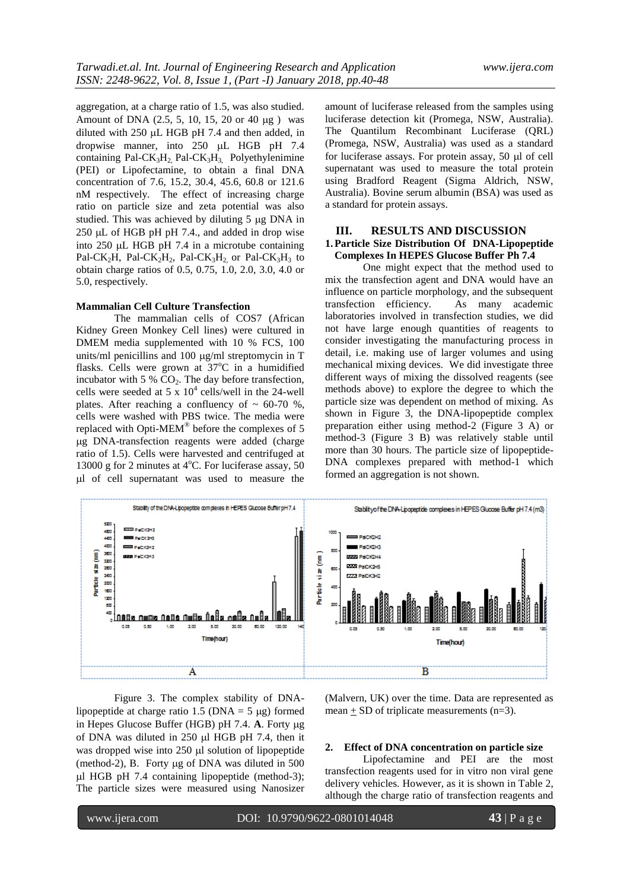aggregation, at a charge ratio of 1.5, was also studied. Amount of DNA  $(2.5, 5, 10, 15, 20$  or  $40 \mu$ g ) was diluted with  $250 \mu L$  HGB pH 7.4 and then added, in dropwise manner, into 250 µL HGB pH 7.4 containing Pal-CK<sub>3</sub>H<sub>2</sub>, Pal-CK<sub>3</sub>H<sub>3</sub>, Polyethylenimine (PEI) or Lipofectamine, to obtain a final DNA concentration of 7.6, 15.2, 30.4, 45.6, 60.8 or 121.6 nM respectively. The effect of increasing charge ratio on particle size and zeta potential was also studied. This was achieved by diluting  $5 \mu g$  DNA in  $250 \mu L$  of HGB pH pH 7.4., and added in drop wise into  $250 \mu L$  HGB pH 7.4 in a microtube containing Pal-CK<sub>2</sub>H, Pal-CK<sub>2</sub>H<sub>2</sub>, Pal-CK<sub>3</sub>H<sub>2</sub> or Pal-CK<sub>3</sub>H<sub>3</sub> to obtain charge ratios of 0.5, 0.75, 1.0, 2.0, 3.0, 4.0 or 5.0, respectively.

### **Mammalian Cell Culture Transfection**

The mammalian cells of COS7 (African Kidney Green Monkey Cell lines) were cultured in DMEM media supplemented with 10 % FCS, 100 units/ml penicillins and  $100 \mu g/ml$  streptomycin in T flasks. Cells were grown at  $37^{\circ}$ C in a humidified incubator with  $5\%$  CO<sub>2</sub>. The day before transfection, cells were seeded at 5 x  $10^4$  cells/well in the 24-well plates. After reaching a confluency of  $\sim 60-70$  %, cells were washed with PBS twice. The media were replaced with Opti-MEM<sup>®</sup> before the complexes of 5 g DNA-transfection reagents were added (charge ratio of 1.5). Cells were harvested and centrifuged at 13000 g for 2 minutes at  $4^{\circ}$ C. For luciferase assay, 50 l of cell supernatant was used to measure the amount of luciferase released from the samples using luciferase detection kit (Promega, NSW, Australia). The Quantilum Recombinant Luciferase (QRL) (Promega, NSW, Australia) was used as a standard for luciferase assays. For protein assay, 50  $\mu$ l of cell supernatant was used to measure the total protein using Bradford Reagent (Sigma Aldrich, NSW, Australia). Bovine serum albumin (BSA) was used as a standard for protein assays.

## **III. RESULTS AND DISCUSSION**

## **1.Particle Size Distribution Of DNA-Lipopeptide Complexes In HEPES Glucose Buffer Ph 7.4**

One might expect that the method used to mix the transfection agent and DNA would have an influence on particle morphology, and the subsequent transfection efficiency. As many academic laboratories involved in transfection studies, we did not have large enough quantities of reagents to consider investigating the manufacturing process in detail, i.e. making use of larger volumes and using mechanical mixing devices. We did investigate three different ways of mixing the dissolved reagents (see methods above) to explore the degree to which the particle size was dependent on method of mixing. As shown in Figure 3, the DNA-lipopeptide complex preparation either using method-2 (Figure 3 A) or method-3 (Figure 3 B) was relatively stable until more than 30 hours. The particle size of lipopeptide-DNA complexes prepared with method-1 which formed an aggregation is not shown.



Figure 3. The complex stability of DNAlipopeptide at charge ratio 1.5 ( $DNA = 5 \mu g$ ) formed in Hepes Glucose Buffer (HGB) pH 7.4. **A**. Forty ug of DNA was diluted in  $250 \mu$  HGB pH 7.4, then it was dropped wise into  $250 \mu l$  solution of lipopeptide (method-2), B. Forty  $\mu$ g of DNA was diluted in 500 l HGB pH 7.4 containing lipopeptide (method-3); The particle sizes were measured using Nanosizer (Malvern, UK) over the time. Data are represented as mean  $\pm$  SD of triplicate measurements (n=3).

### **2. Effect of DNA concentration on particle size**

Lipofectamine and PEI are the most transfection reagents used for in vitro non viral gene delivery vehicles. However, as it is shown in Table 2, although the charge ratio of transfection reagents and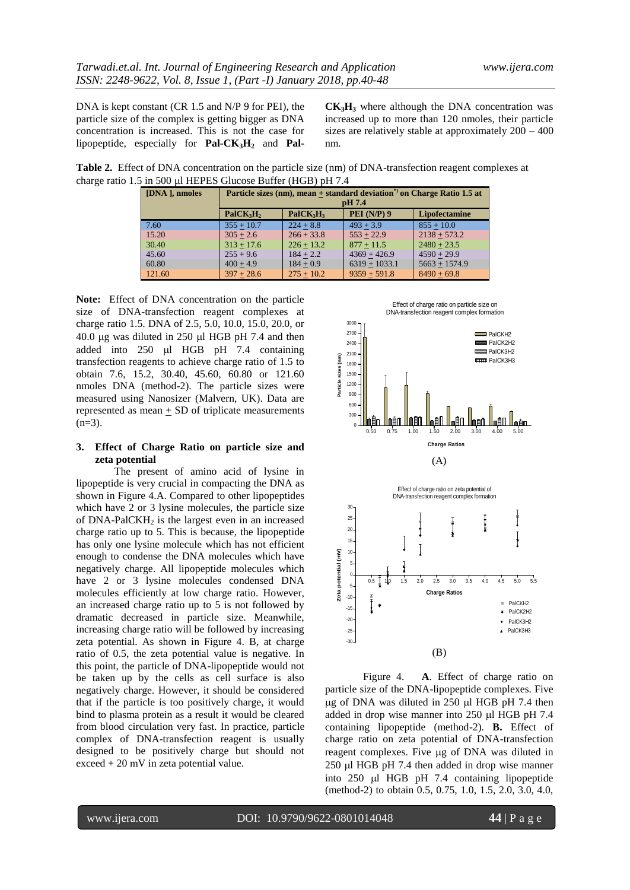DNA is kept constant (CR 1.5 and N/P 9 for PEI), the particle size of the complex is getting bigger as DNA concentration is increased. This is not the case for lipopeptide, especially for **Pal-CK3H<sup>2</sup>** and **Pal-** **CK3H<sup>3</sup>** where although the DNA concentration was increased up to more than 120 nmoles, their particle sizes are relatively stable at approximately 200 – 400 nm.

Effect of charge ratio on particle size on

**Table 2.** Effect of DNA concentration on the particle size (nm) of DNA-transfection reagent complexes at charge ratio 1.5 in 500 µl HEPES Glucose Buffer (HGB) pH 7.4

| [DNA ], nmoles | Particle sizes (nm), mean $\pm$ standard deviation <sup>*</sup> ) on Charge Ratio 1.5 at<br>pH 7.4 |                                   |                    |                 |  |  |
|----------------|----------------------------------------------------------------------------------------------------|-----------------------------------|--------------------|-----------------|--|--|
|                | PalCK <sub>3</sub> H <sub>2</sub>                                                                  | PalCK <sub>3</sub> H <sub>3</sub> | <b>PEI</b> (N/P) 9 | Lipofectamine   |  |  |
| 7.60           | $355 + 10.7$                                                                                       | $224 + 8.8$                       | $493 + 3.9$        | $855 + 10.0$    |  |  |
| 15.20          | $305 + 2.6$                                                                                        | $266 + 33.8$                      | $553 + 22.9$       | $2138 + 573.2$  |  |  |
| 30.40          | $313 + 17.6$                                                                                       | $226 + 13.2$                      | $877 + 11.5$       | $2480 + 23.5$   |  |  |
| 45.60          | $255 + 9.6$                                                                                        | $184 + 2.2$                       | $4369 + 426.9$     | $4590 + 29.9$   |  |  |
| 60.80          | $400 + 4.9$                                                                                        | $184 + 0.9$                       | $6319 + 1033.1$    | $5663 + 1574.9$ |  |  |
| 121.60         | $397 + 28.6$                                                                                       | $275 + 10.2$                      | $9359 + 591.8$     | $8490 + 69.8$   |  |  |

**Note:** Effect of DNA concentration on the particle size of DNA-transfection reagent complexes at charge ratio 1.5. DNA of 2.5, 5.0, 10.0, 15.0, 20.0, or  $40.0 \mu$ g was diluted in 250  $\mu$ l HGB pH 7.4 and then added into  $250 \text{ }\mu\text{l}$  HGB pH 7.4 containing transfection reagents to achieve charge ratio of 1.5 to obtain 7.6, 15.2, 30.40, 45.60, 60.80 or 121.60 nmoles DNA (method-2). The particle sizes were measured using Nanosizer (Malvern, UK). Data are represented as mean  $\pm$  SD of triplicate measurements  $(n=3)$ .

### **3. Effect of Charge Ratio on particle size and zeta potential**

The present of amino acid of lysine in lipopeptide is very crucial in compacting the DNA as shown in Figure 4.A. Compared to other lipopeptides which have 2 or 3 lysine molecules, the particle size of  $DNA-PaICKH<sub>2</sub>$  is the largest even in an increased charge ratio up to 5. This is because, the lipopeptide has only one lysine molecule which has not efficient enough to condense the DNA molecules which have negatively charge. All lipopeptide molecules which have 2 or 3 lysine molecules condensed DNA molecules efficiently at low charge ratio. However, an increased charge ratio up to 5 is not followed by dramatic decreased in particle size. Meanwhile, increasing charge ratio will be followed by increasing zeta potential. As shown in Figure 4. B, at charge ratio of 0.5, the zeta potential value is negative. In this point, the particle of DNA-lipopeptide would not be taken up by the cells as cell surface is also negatively charge. However, it should be considered that if the particle is too positively charge, it would bind to plasma protein as a result it would be cleared from blood circulation very fast. In practice, particle complex of DNA-transfection reagent is usually designed to be positively charge but should not exceed + 20 mV in zeta potential value.



(B)

Figure 4. **A**. Effect of charge ratio on particle size of the DNA-lipopeptide complexes. Five  $\mu$ g of DNA was diluted in 250  $\mu$ l HGB pH 7.4 then added in drop wise manner into 250 µl HGB pH 7.4 containing lipopeptide (method-2). **B.** Effect of charge ratio on zeta potential of DNA-transfection reagent complexes. Five µg of DNA was diluted in  $250 \mu$ l HGB pH 7.4 then added in drop wise manner into  $250$   $\mu$ l HGB pH 7.4 containing lipopeptide (method-2) to obtain 0.5, 0.75, 1.0, 1.5, 2.0, 3.0, 4.0,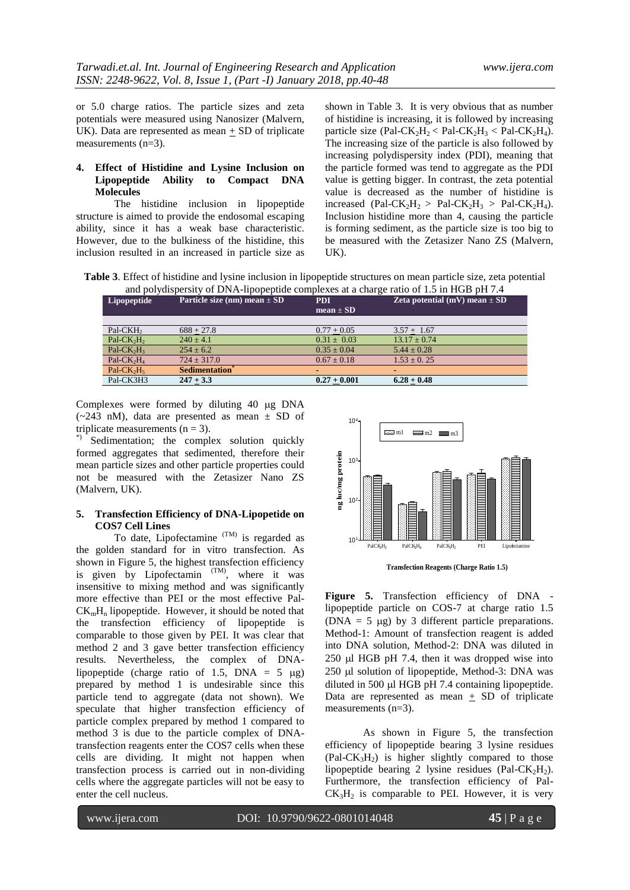or 5.0 charge ratios. The particle sizes and zeta potentials were measured using Nanosizer (Malvern, UK). Data are represented as mean  $\pm$  SD of triplicate measurements (n=3).

### **4. Effect of Histidine and Lysine Inclusion on Lipopeptide Ability to Compact DNA Molecules**

The histidine inclusion in lipopeptide structure is aimed to provide the endosomal escaping ability, since it has a weak base characteristic. However, due to the bulkiness of the histidine, this inclusion resulted in an increased in particle size as

shown in Table 3. It is very obvious that as number of histidine is increasing, it is followed by increasing particle size (Pal-CK<sub>2</sub>H<sub>2</sub> < Pal-CK<sub>2</sub>H<sub>3</sub> < Pal-CK<sub>2</sub>H<sub>4</sub>). The increasing size of the particle is also followed by increasing polydispersity index (PDI), meaning that the particle formed was tend to aggregate as the PDI value is getting bigger. In contrast, the zeta potential value is decreased as the number of histidine is increased (Pal-CK<sub>2</sub>H<sub>2</sub> > Pal-CK<sub>2</sub>H<sub>3</sub> > Pal-CK<sub>2</sub>H<sub>4</sub>). Inclusion histidine more than 4, causing the particle is forming sediment, as the particle size is too big to be measured with the Zetasizer Nano ZS (Malvern, UK).

**Table 3**. Effect of histidine and lysine inclusion in lipopeptide structures on mean particle size, zeta potential and polydispersity of DNA-lipopeptide complexes at a charge ratio of 1.5 in HGB pH 7.4

| Lipopeptide                        | Particle size (nm) mean $\pm$ SD  | <b>PDI</b><br>$mean \pm SD$ | Zeta potential (mV) mean $\pm$ SD |
|------------------------------------|-----------------------------------|-----------------------------|-----------------------------------|
|                                    |                                   |                             |                                   |
| Pal-CKH <sub>2</sub>               | $688 + 27.8$                      | $0.77 + 0.05$               | $3.57 + 1.67$                     |
| Pal- $CK2H2$                       | $240 \pm 4.1$                     | $0.31 \pm 0.03$             | $13.17 \pm 0.74$                  |
| Pal-CK <sub>2</sub> H <sub>3</sub> | $254 + 6.2$                       | $0.35 \pm 0.04$             | $5.44 + 0.28$                     |
| Pal-CK <sub>2</sub> H <sub>4</sub> | $724 \pm 317.0$                   | $0.67 \pm 0.18$             | $1.53 \pm 0.25$                   |
| Pal-CK <sub>2</sub> H <sub>5</sub> | <b>Sedimentation</b> <sup>®</sup> | $\blacksquare$              |                                   |
| Pal-CK3H3                          | $247 + 3.3$                       | $0.27 + 0.001$              | $6.28 + 0.48$                     |

Complexes were formed by diluting 40 µg DNA  $(-243 \text{ nM})$ , data are presented as mean  $\pm$  SD of triplicate measurements  $(n = 3)$ .

\*) Sedimentation; the complex solution quickly formed aggregates that sedimented, therefore their mean particle sizes and other particle properties could not be measured with the Zetasizer Nano ZS (Malvern, UK).

## **5. Transfection Efficiency of DNA-Lipopetide on COS7 Cell Lines**

To date, Lipofectamine  $(TM)$  is regarded as the golden standard for in vitro transfection. As shown in Figure 5, the highest transfection efficiency is given by Lipofectamin  $(M)$ , where it was insensitive to mixing method and was significantly more effective than PEI or the most effective Pal- $CK<sub>m</sub>H<sub>n</sub>$  lipopeptide. However, it should be noted that the transfection efficiency of lipopeptide is comparable to those given by PEI. It was clear that method 2 and 3 gave better transfection efficiency results. Nevertheless, the complex of DNAlipopeptide (charge ratio of 1.5, DNA =  $5 \mu g$ ) prepared by method 1 is undesirable since this particle tend to aggregate (data not shown). We speculate that higher transfection efficiency of particle complex prepared by method 1 compared to method 3 is due to the particle complex of DNAtransfection reagents enter the COS7 cells when these cells are dividing. It might not happen when transfection process is carried out in non-dividing cells where the aggregate particles will not be easy to enter the cell nucleus.



**Transfection Reagents (Charge Ratio 1.5)**

**Figure 5.** Transfection efficiency of DNA lipopeptide particle on COS-7 at charge ratio 1.5 (DNA = 5  $\mu$ g) by 3 different particle preparations. Method-1: Amount of transfection reagent is added into DNA solution, Method-2: DNA was diluted in  $250$  µl HGB pH 7.4, then it was dropped wise into 250 µl solution of lipopeptide, Method-3: DNA was diluted in 500 µl HGB pH 7.4 containing lipopeptide. Data are represented as mean  $\pm$  SD of triplicate measurements (n=3).

As shown in Figure 5, the transfection efficiency of lipopeptide bearing 3 lysine residues  $(Pal-CK<sub>3</sub>H<sub>2</sub>)$  is higher slightly compared to those lipopeptide bearing 2 lysine residues (Pal-CK<sub>2</sub>H<sub>2</sub>). Furthermore, the transfection efficiency of Pal- $CK<sub>3</sub>H<sub>2</sub>$  is comparable to PEI. However, it is very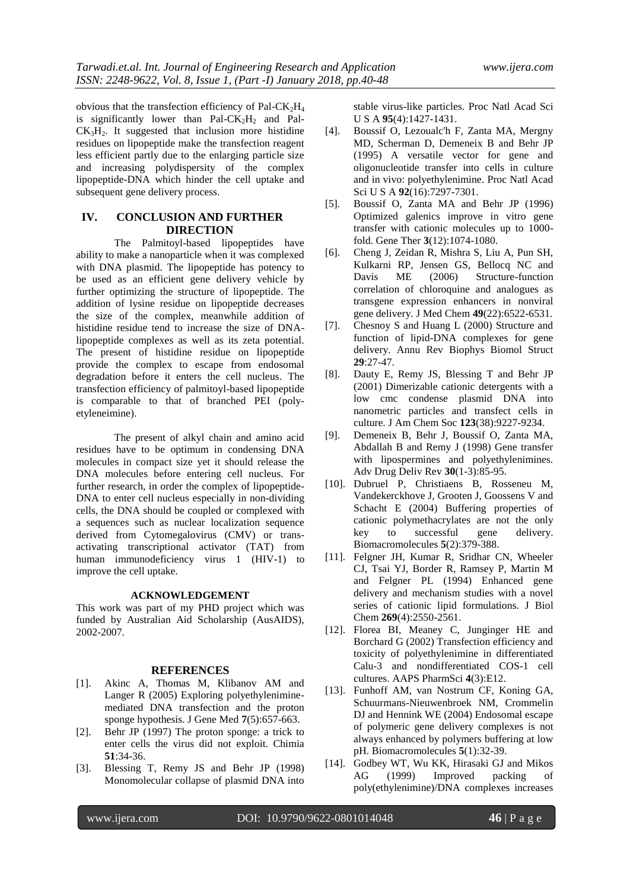obvious that the transfection efficiency of Pal-CK<sub>2</sub>H<sub>4</sub> is significantly lower than Pal-CK<sub>2</sub>H<sub>2</sub> and Pal- $CK<sub>3</sub>H<sub>2</sub>$ . It suggested that inclusion more histidine residues on lipopeptide make the transfection reagent less efficient partly due to the enlarging particle size and increasing polydispersity of the complex lipopeptide-DNA which hinder the cell uptake and subsequent gene delivery process.

## **IV. CONCLUSION AND FURTHER DIRECTION**

The Palmitoyl-based lipopeptides have ability to make a nanoparticle when it was complexed with DNA plasmid. The lipopeptide has potency to be used as an efficient gene delivery vehicle by further optimizing the structure of lipopeptide. The addition of lysine residue on lipopeptide decreases the size of the complex, meanwhile addition of histidine residue tend to increase the size of DNAlipopeptide complexes as well as its zeta potential. The present of histidine residue on lipopeptide provide the complex to escape from endosomal degradation before it enters the cell nucleus. The transfection efficiency of palmitoyl-based lipopeptide is comparable to that of branched PEI (polyetyleneimine).

The present of alkyl chain and amino acid residues have to be optimum in condensing DNA molecules in compact size yet it should release the DNA molecules before entering cell nucleus. For further research, in order the complex of lipopeptide-DNA to enter cell nucleus especially in non-dividing cells, the DNA should be coupled or complexed with a sequences such as nuclear localization sequence derived from Cytomegalovirus (CMV) or transactivating transcriptional activator (TAT) from [human immunodeficiency virus 1](https://en.wikipedia.org/wiki/Human_immunodeficiency_virus_1) (HIV-1) to improve the cell uptake.

### **ACKNOWLEDGEMENT**

This work was part of my PHD project which was funded by Australian Aid Scholarship (AusAIDS), 2002-2007.

#### **REFERENCES**

- [1]. Akinc A, Thomas M, Klibanov AM and Langer R (2005) Exploring polyethyleniminemediated DNA transfection and the proton sponge hypothesis. J Gene Med **7**(5):657-663.
- [2]. Behr JP (1997) The proton sponge: a trick to enter cells the virus did not exploit. Chimia **51**:34-36.
- [3]. Blessing T, Remy JS and Behr JP (1998) Monomolecular collapse of plasmid DNA into

stable virus-like particles. Proc Natl Acad Sci U S A **95**(4):1427-1431.

- [4]. Boussif O, Lezoualc'h F, Zanta MA, Mergny MD, Scherman D, Demeneix B and Behr JP (1995) A versatile vector for gene and oligonucleotide transfer into cells in culture and in vivo: polyethylenimine. Proc Natl Acad Sci U S A **92**(16):7297-7301.
- [5]. Boussif O, Zanta MA and Behr JP (1996) Optimized galenics improve in vitro gene transfer with cationic molecules up to 1000 fold. Gene Ther **3**(12):1074-1080.
- [6]. Cheng J, Zeidan R, Mishra S, Liu A, Pun SH, Kulkarni RP, Jensen GS, Bellocq NC and Davis ME (2006) Structure-function correlation of chloroquine and analogues as transgene expression enhancers in nonviral gene delivery. J Med Chem **49**(22):6522-6531.
- [7]. Chesnoy S and Huang L (2000) Structure and function of lipid-DNA complexes for gene delivery. Annu Rev Biophys Biomol Struct **29**:27-47.
- [8]. Dauty E, Remy JS, Blessing T and Behr JP (2001) Dimerizable cationic detergents with a low cmc condense plasmid DNA into nanometric particles and transfect cells in culture. J Am Chem Soc **123**(38):9227-9234.
- [9]. Demeneix B, Behr J, Boussif O, Zanta MA, Abdallah B and Remy J (1998) Gene transfer with lipospermines and polyethylenimines. Adv Drug Deliv Rev **30**(1-3):85-95.
- [10]. Dubruel P, Christiaens B, Rosseneu M, Vandekerckhove J, Grooten J, Goossens V and Schacht E (2004) Buffering properties of cationic polymethacrylates are not the only key to successful gene delivery. Biomacromolecules **5**(2):379-388.
- [11]. Felgner JH, Kumar R, Sridhar CN, Wheeler CJ, Tsai YJ, Border R, Ramsey P, Martin M and Felgner PL (1994) Enhanced gene delivery and mechanism studies with a novel series of cationic lipid formulations. J Biol Chem **269**(4):2550-2561.
- [12]. Florea BI, Meaney C, Junginger HE and Borchard G (2002) Transfection efficiency and toxicity of polyethylenimine in differentiated Calu-3 and nondifferentiated COS-1 cell cultures. AAPS PharmSci **4**(3):E12.
- [13]. Funhoff AM, van Nostrum CF, Koning GA, Schuurmans-Nieuwenbroek NM, Crommelin DJ and Hennink WE (2004) Endosomal escape of polymeric gene delivery complexes is not always enhanced by polymers buffering at low pH. Biomacromolecules **5**(1):32-39.
- [14]. Godbey WT, Wu KK, Hirasaki GJ and Mikos AG (1999) Improved packing of poly(ethylenimine)/DNA complexes increases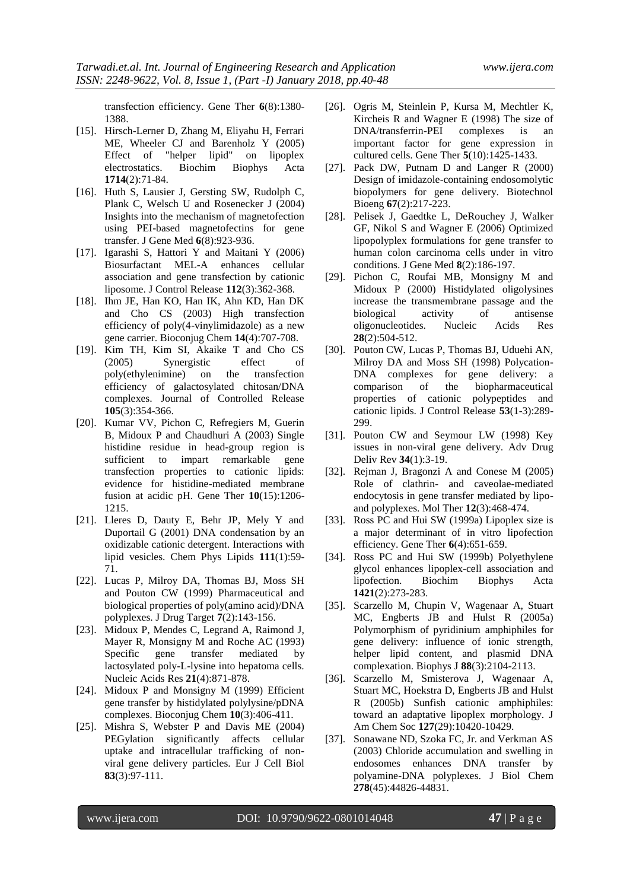transfection efficiency. Gene Ther **6**(8):1380- 1388.

- [15]. Hirsch-Lerner D, Zhang M, Eliyahu H, Ferrari ME, Wheeler CJ and Barenholz Y (2005) Effect of "helper lipid" on lipoplex electrostatics. Biochim Biophys Acta **1714**(2):71-84.
- [16]. Huth S, Lausier J, Gersting SW, Rudolph C, Plank C, Welsch U and Rosenecker J (2004) Insights into the mechanism of magnetofection using PEI-based magnetofectins for gene transfer. J Gene Med **6**(8):923-936.
- [17]. Igarashi S, Hattori Y and Maitani Y (2006) Biosurfactant MEL-A enhances cellular association and gene transfection by cationic liposome. J Control Release **112**(3):362-368.
- [18]. Ihm JE, Han KO, Han IK, Ahn KD, Han DK and Cho CS (2003) High transfection efficiency of poly(4-vinylimidazole) as a new gene carrier. Bioconjug Chem **14**(4):707-708.
- [19]. Kim TH, Kim SI, Akaike T and Cho CS (2005) Synergistic effect of poly(ethylenimine) on the transfection efficiency of galactosylated chitosan/DNA complexes. Journal of Controlled Release **105**(3):354-366.
- [20]. Kumar VV, Pichon C, Refregiers M, Guerin B, Midoux P and Chaudhuri A (2003) Single histidine residue in head-group region is sufficient to impart remarkable gene transfection properties to cationic lipids: evidence for histidine-mediated membrane fusion at acidic pH. Gene Ther **10**(15):1206- 1215.
- [21]. Lleres D, Dauty E, Behr JP, Mely Y and Duportail G (2001) DNA condensation by an oxidizable cationic detergent. Interactions with lipid vesicles. Chem Phys Lipids **111**(1):59- 71.
- [22]. Lucas P, Milroy DA, Thomas BJ, Moss SH and Pouton CW (1999) Pharmaceutical and biological properties of poly(amino acid)/DNA polyplexes. J Drug Target **7**(2):143-156.
- [23]. Midoux P, Mendes C, Legrand A, Raimond J, Mayer R, Monsigny M and Roche AC (1993) Specific gene transfer mediated by lactosylated poly-L-lysine into hepatoma cells. Nucleic Acids Res **21**(4):871-878.
- [24]. Midoux P and Monsigny M (1999) Efficient gene transfer by histidylated polylysine/pDNA complexes. Bioconjug Chem **10**(3):406-411.
- [25]. Mishra S, Webster P and Davis ME (2004) PEGylation significantly affects cellular uptake and intracellular trafficking of nonviral gene delivery particles. Eur J Cell Biol **83**(3):97-111.
- [26]. Ogris M, Steinlein P, Kursa M, Mechtler K, Kircheis R and Wagner E (1998) The size of DNA/transferrin-PEI complexes is an important factor for gene expression in cultured cells. Gene Ther **5**(10):1425-1433.
- [27]. Pack DW, Putnam D and Langer R (2000) Design of imidazole-containing endosomolytic biopolymers for gene delivery. Biotechnol Bioeng **67**(2):217-223.
- [28]. Pelisek J, Gaedtke L, DeRouchey J, Walker GF, Nikol S and Wagner E (2006) Optimized lipopolyplex formulations for gene transfer to human colon carcinoma cells under in vitro conditions. J Gene Med **8**(2):186-197.
- [29]. Pichon C, Roufai MB, Monsigny M and Midoux P (2000) Histidylated oligolysines increase the transmembrane passage and the biological activity of antisense oligonucleotides. Nucleic Acids Res **28**(2):504-512.
- [30]. Pouton CW, Lucas P, Thomas BJ, Uduehi AN, Milroy DA and Moss SH (1998) Polycation-DNA complexes for gene delivery: a comparison of the biopharmaceutical properties of cationic polypeptides and cationic lipids. J Control Release **53**(1-3):289- 299.
- [31]. Pouton CW and Seymour LW (1998) Key issues in non-viral gene delivery. Adv Drug Deliv Rev **34**(1):3-19.
- [32]. Rejman J, Bragonzi A and Conese M (2005) Role of clathrin- and caveolae-mediated endocytosis in gene transfer mediated by lipoand polyplexes. Mol Ther **12**(3):468-474.
- [33]. Ross PC and Hui SW (1999a) Lipoplex size is a major determinant of in vitro lipofection efficiency. Gene Ther **6**(4):651-659.
- [34]. Ross PC and Hui SW (1999b) Polyethylene glycol enhances lipoplex-cell association and lipofection. Biochim Biophys Acta **1421**(2):273-283.
- [35]. Scarzello M, Chupin V, Wagenaar A, Stuart MC, Engberts JB and Hulst R (2005a) Polymorphism of pyridinium amphiphiles for gene delivery: influence of ionic strength, helper lipid content, and plasmid DNA complexation. Biophys J **88**(3):2104-2113.
- [36]. Scarzello M, Smisterova J, Wagenaar A, Stuart MC, Hoekstra D, Engberts JB and Hulst R (2005b) Sunfish cationic amphiphiles: toward an adaptative lipoplex morphology. J Am Chem Soc **127**(29):10420-10429.
- [37]. Sonawane ND, Szoka FC, Jr. and Verkman AS (2003) Chloride accumulation and swelling in endosomes enhances DNA transfer by polyamine-DNA polyplexes. J Biol Chem **278**(45):44826-44831.